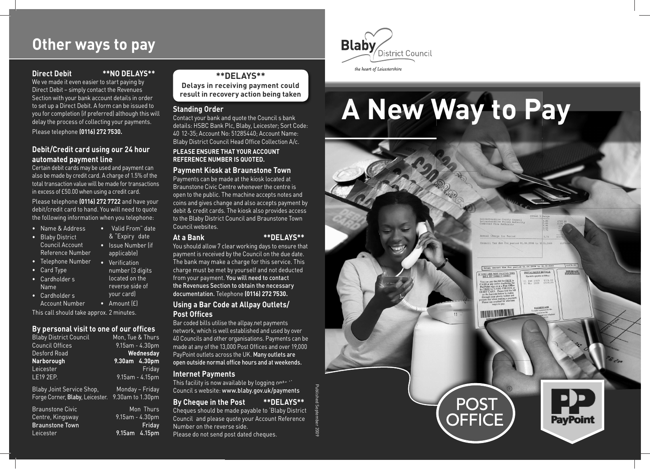# **Other ways to pay**

#### **Direct Debit \*\*NO DELAYS\*\***

' We ve made it even easier to start paying by Direct Debit – simply contact the Revenues Section with your bank account details in order to set up a Direct Debit. A form can be issued to you for completion (if preferred) although this will delay the process of collecting your payments. Please telephone **(0116) 272 7530.** 

## **Debit/Credit card using our 24 hour automated payment line**

in excess of £50.00 when using a credit card. Certain debit cards may be used and payment can also be made by credit card. A charge of 1.5% of the total transaction value will be made for transactions

Please telephone (0116) 272 7722 and have your debit/credit card to hand. You will need to quote the following information when you telephone:

- Name & Address
- $\bullet$  Blaby District

#### & "Expiry date Council Account • Issue Number (if Reference Number applicable)

• Valid From" date

number (3 digits

- Telephone Number Verifi cation
- 
- ' Cardholder s located on the
- ' Cardholder s your card) Name reverse side of<br>Cardbolder s vour card
- Account Number Amount (£)

This call should take approx. 2 minutes.

#### **By personal visit to one of our offices**

| <b>Blaby District Council</b> | Mon, Tue & Thurs   |
|-------------------------------|--------------------|
| <b>Council Offices</b>        | $9.15$ am - 4.30pm |
| Desford Road                  | Wednesday          |
| Narborough                    | 9.30am 4.30pm      |
| Leicester                     | Fridav             |
| <b>LE19 2EP.</b>              | 9.15am - 4.15pm    |

Blaby Joint Service Shop, Monday – Friday Forge Corner, Blaby, Leicester. 9.30am to 1.30pm

| Braunstone Civic | Mon Thurs           |
|------------------|---------------------|
| Centre, Kingsway | $9.15$ am - 4.30pm  |
| Braunstone Town  | Fridav              |
| Leicester        | $9.15$ am $4.15$ pm |

#### **\*\*DELAYS\*\***

**Delays in receiving payment could result in recovery action being taken** 

#### **Standing Order**

Blaby District Council Head Office Collection A/c. ' Contact your bank and quote the Council s bank - 40 12-35; Account No: 51285440; Account Name: details: HSBC Bank Plc, Blaby, Leicester; Sort Code:

#### **PLEASE ENSURE THAT YOUR ACCOUNT REFERENCE NUMBER IS QUOTED.**

#### **Payment Kiosk at Braunstone Town**

Payments can be made at the kiosk located at Braunstone Civic Centre whenever the centre is open to the public. The machine accepts notes and coins and gives change and also accepts payment by debit & credit cards. The kiosk also provides access to the Blaby District Council and Braunstone Town Council websites.

#### **At a Bank \*\*DELAYS\*\***

You should allow 7 clear working days to ensure that payment is received by the Council on the due date. The bank may make a charge for this service. This charge must be met by yourself and not deducted from your payment. You will need to contact the Revenues Section to obtain the necessary documentation. Telephone **(0116) 272 7530.** 

## **Using a Bar Code at Allpay Outlets/ Post Offices**

Bar coded bills utilise the allpay.net payments network, which is well established and used by over 40 Councils and other organisations. Payments can be made at any of the 13,000 Post Offices and over 19,000 PayPoint outlets across the UK. Many outlets are open outside normal office hours and at weekends.

#### **Internet Payments**

' Council s website: www.blaby.gov.uk/payments This facility is now available by logging onto "

Number on the reverse side. ' Council and please quote your Account Reference **By Cheque in the Post \*\*DELAYS\*\***  Cheques should be made payable to 'Blaby District Please do not send post dated cheques.

Published September 2009



the heart of Leicestershire

# **A New Way to Pay**